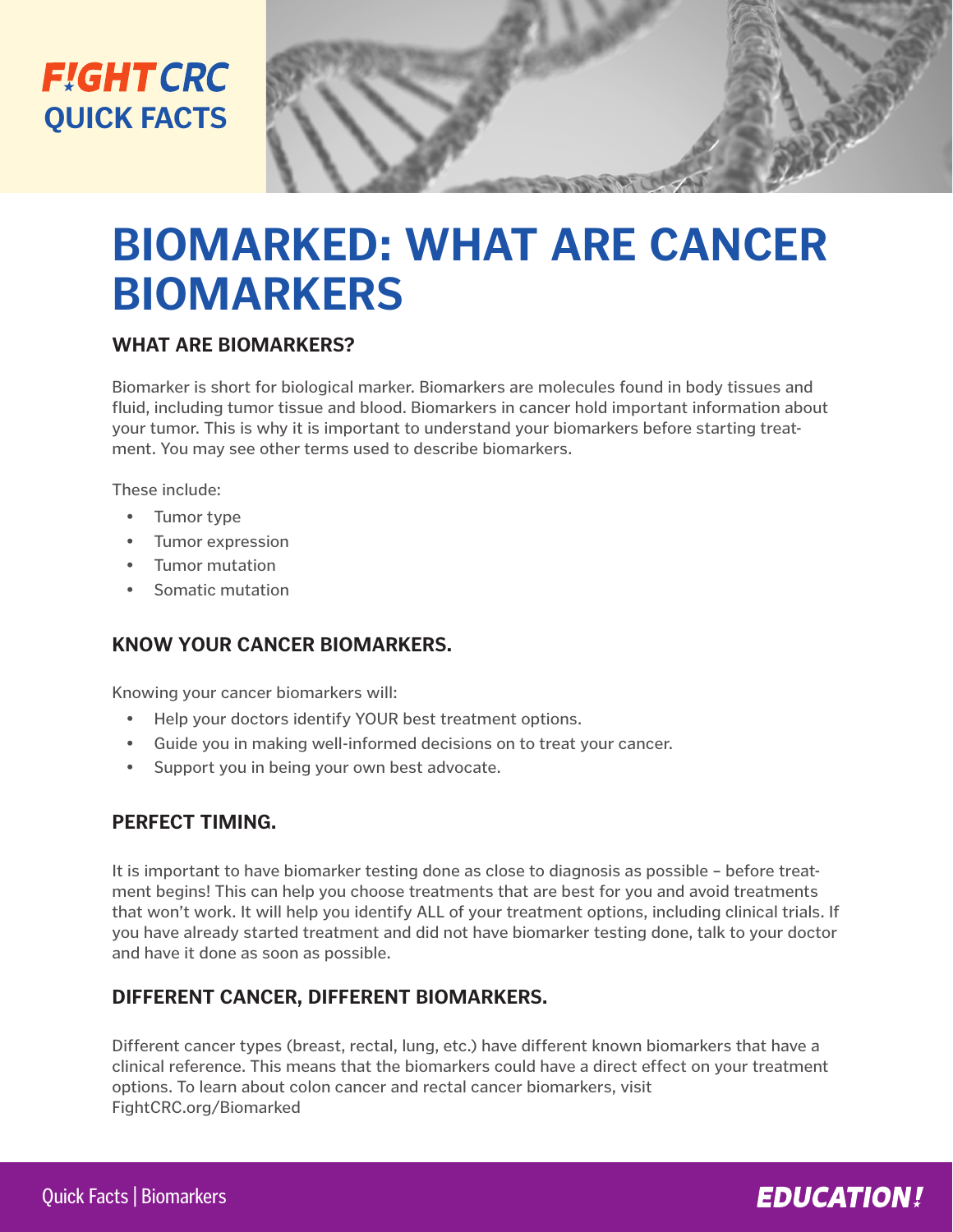## **FIGHT CRC QUICK FACTS**

# **BIOMARKED: WHAT ARE CANCER BIOMARKERS**

#### **WHAT ARE BIOMARKERS?**

Biomarker is short for biological marker. Biomarkers are molecules found in body tissues and fluid, including tumor tissue and blood. Biomarkers in cancer hold important information about your tumor. This is why it is important to understand your biomarkers before starting treatment. You may see other terms used to describe biomarkers.

These include:

- Tumor type
- Tumor expression
- Tumor mutation
- Somatic mutation

#### **KNOW YOUR CANCER BIOMARKERS.**

Knowing your cancer biomarkers will:

- Help your doctors identify YOUR best treatment options.
- Guide you in making well-informed decisions on to treat your cancer.
- Support you in being your own best advocate.

#### **PERFECT TIMING.**

It is important to have biomarker testing done as close to diagnosis as possible – before treatment begins! This can help you choose treatments that are best for you and avoid treatments that won't work. It will help you identify ALL of your treatment options, including clinical trials. If you have already started treatment and did not have biomarker testing done, talk to your doctor and have it done as soon as possible.

#### **DIFFERENT CANCER, DIFFERENT BIOMARKERS.**

Different cancer types (breast, rectal, lung, etc.) have different known biomarkers that have a clinical reference. This means that the biomarkers could have a direct effect on your treatment options. To learn about colon cancer and rectal cancer biomarkers, visit FightCRC.org/Biomarked